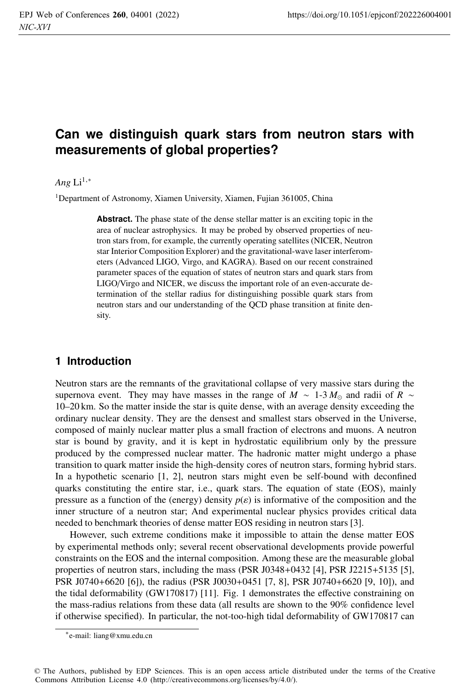# **Can we distinguish quark stars from neutron stars with measurements of global properties?**

#### *Ang*  $Li^{1,*}$

<sup>1</sup>Department of Astronomy, Xiamen University, Xiamen, Fujian 361005, China

**Abstract.** The phase state of the dense stellar matter is an exciting topic in the area of nuclear astrophysics. It may be probed by observed properties of neutron stars from, for example, the currently operating satellites (NICER, Neutron star Interior Composition Explorer) and the gravitational-wave laser interferometers (Advanced LIGO, Virgo, and KAGRA). Based on our recent constrained parameter spaces of the equation of states of neutron stars and quark stars from LIGO/Virgo and NICER, we discuss the important role of an even-accurate determination of the stellar radius for distinguishing possible quark stars from neutron stars and our understanding of the QCD phase transition at finite density.

### **1 Introduction**

Neutron stars are the remnants of the gravitational collapse of very massive stars during the supernova event. They may have masses in the range of *M* ~ 1-3  $M_{\odot}$  and radii of *R* ∼ 10–20 km. So the matter inside the star is quite dense, with an average density exceeding the ordinary nuclear density. They are the densest and smallest stars observed in the Universe, composed of mainly nuclear matter plus a small fraction of electrons and muons. A neutron star is bound by gravity, and it is kept in hydrostatic equilibrium only by the pressure produced by the compressed nuclear matter. The hadronic matter might undergo a phase transition to quark matter inside the high-density cores of neutron stars, forming hybrid stars. In a hypothetic scenario [1, 2], neutron stars might even be self-bound with deconfined quarks constituting the entire star, i.e., quark stars. The equation of state (EOS), mainly pressure as a function of the (energy) density  $p(\varepsilon)$  is informative of the composition and the inner structure of a neutron star; And experimental nuclear physics provides critical data needed to benchmark theories of dense matter EOS residing in neutron stars [3].

However, such extreme conditions make it impossible to attain the dense matter EOS by experimental methods only; several recent observational developments provide powerful constraints on the EOS and the internal composition. Among these are the measurable global properties of neutron stars, including the mass (PSR J0348+0432 [4], PSR J2215+5135 [5], PSR J0740+6620 [6]), the radius (PSR J0030+0451 [7, 8], PSR J0740+6620 [9, 10]), and the tidal deformability (GW170817) [11]. Fig. 1 demonstrates the effective constraining on the mass-radius relations from these data (all results are shown to the 90% confidence level if otherwise specified). In particular, the not-too-high tidal deformability of GW170817 can

<sup>∗</sup>e-mail: liang@xmu.edu.cn

<sup>©</sup> The Authors, published by EDP Sciences. This is an open access article distributed under the terms of the Creative Commons Attribution License 4.0 (http://creativecommons.org/licenses/by/4.0/).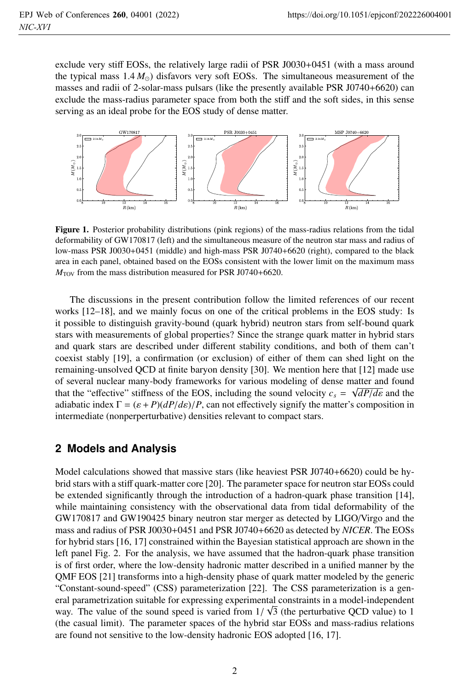exclude very stiff EOSs, the relatively large radii of PSR J0030+0451 (with a mass around the typical mass  $1.4 M_{\odot}$ ) disfavors very soft EOSs. The simultaneous measurement of the masses and radii of 2-solar-mass pulsars (like the presently available PSR J0740+6620) can exclude the mass-radius parameter space from both the stiff and the soft sides, in this sense serving as an ideal probe for the EOS study of dense matter.



Figure 1. Posterior probability distributions (pink regions) of the mass-radius relations from the tidal deformability of GW170817 (left) and the simultaneous measure of the neutron star mass and radius of low-mass PSR J0030+0451 (middle) and high-mass PSR J0740+6620 (right), compared to the black area in each panel, obtained based on the EOSs consistent with the lower limit on the maximum mass  $M_{\text{TOV}}$  from the mass distribution measured for PSR J0740+6620.

The discussions in the present contribution follow the limited references of our recent works [12–18], and we mainly focus on one of the critical problems in the EOS study: Is it possible to distinguish gravity-bound (quark hybrid) neutron stars from self-bound quark stars with measurements of global properties? Since the strange quark matter in hybrid stars and quark stars are described under different stability conditions, and both of them can't coexist stably [19], a confirmation (or exclusion) of either of them can shed light on the remaining-unsolved QCD at finite baryon density [30]. We mention here that [12] made use of several nuclear many-body frameworks for various modeling of dense matter and found that the "effective" stiffness of the EOS, including the sound velocity  $c_s = \sqrt{dP/d\varepsilon}$  and the adiabatic index  $\Gamma = (\varepsilon + P)(dP/d\varepsilon)/P$ , can not effectively signify the matter's composition in intermediate (nonperperturbative) densities relevant to compact stars.

### **2 Models and Analysis**

Model calculations showed that massive stars (like heaviest PSR J0740+6620) could be hybrid stars with a stiff quark-matter core [20]. The parameter space for neutron star EOSs could be extended significantly through the introduction of a hadron-quark phase transition [14], while maintaining consistency with the observational data from tidal deformability of the GW170817 and GW190425 binary neutron star merger as detected by LIGO/Virgo and the mass and radius of PSR J0030+0451 and PSR J0740+6620 as detected by *NICER*. The EOSs for hybrid stars [16, 17] constrained within the Bayesian statistical approach are shown in the left panel Fig. 2. For the analysis, we have assumed that the hadron-quark phase transition is of first order, where the low-density hadronic matter described in a unified manner by the QMF EOS [21] transforms into a high-density phase of quark matter modeled by the generic "Constant-sound-speed" (CSS) parameterization [22]. The CSS parameterization is a general parametrization suitable for expressing experimental constraints in a model-independent way. The value of the sound speed is varied from  $1/\sqrt{3}$  (the perturbative QCD value) to 1 (the casual limit). The parameter spaces of the hybrid star EOSs and mass-radius relations are found not sensitive to the low-density hadronic EOS adopted [16, 17].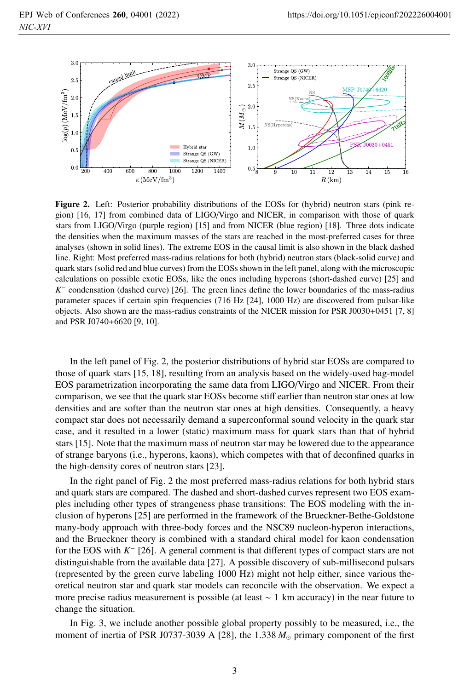

Figure 2. Left: Posterior probability distributions of the EOSs for (hybrid) neutron stars (pink region) [16, 17] from combined data of LIGO/Virgo and NICER, in comparison with those of quark stars from LIGO/Virgo (purple region) [15] and from NICER (blue region) [18]. Three dots indicate the densities when the maximum masses of the stars are reached in the most-preferred cases for three analyses (shown in solid lines). The extreme EOS in the causal limit is also shown in the black dashed line. Right: Most preferred mass-radius relations for both (hybrid) neutron stars (black-solid curve) and quark stars (solid red and blue curves) from the EOSs shown in the left panel, along with the microscopic calculations on possible exotic EOSs, like the ones including hyperons (short-dashed curve) [25] and *K*<sup>−</sup> condensation (dashed curve) [26]. The green lines define the lower boundaries of the mass-radius parameter spaces if certain spin frequencies (716 Hz [24], 1000 Hz) are discovered from pulsar-like objects. Also shown are the mass-radius constraints of the NICER mission for PSR J0030+0451 [7, 8] and PSR J0740+6620 [9, 10].

In the left panel of Fig. 2, the posterior distributions of hybrid star EOSs are compared to those of quark stars [15, 18], resulting from an analysis based on the widely-used bag-model EOS parametrization incorporating the same data from LIGO/Virgo and NICER. From their comparison, we see that the quark star EOSs become stiff earlier than neutron star ones at low densities and are softer than the neutron star ones at high densities. Consequently, a heavy compact star does not necessarily demand a superconformal sound velocity in the quark star case, and it resulted in a lower (static) maximum mass for quark stars than that of hybrid stars [15]. Note that the maximum mass of neutron star may be lowered due to the appearance of strange baryons (i.e., hyperons, kaons), which competes with that of deconfined quarks in the high-density cores of neutron stars [23].

In the right panel of Fig. 2 the most preferred mass-radius relations for both hybrid stars and quark stars are compared. The dashed and short-dashed curves represent two EOS examples including other types of strangeness phase transitions: The EOS modeling with the inclusion of hyperons [25] are performed in the framework of the Brueckner-Bethe-Goldstone many-body approach with three-body forces and the NSC89 nucleon-hyperon interactions, and the Brueckner theory is combined with a standard chiral model for kaon condensation for the EOS with *K*<sup>−</sup> [26]. A general comment is that different types of compact stars are not distinguishable from the available data [27]. A possible discovery of sub-millisecond pulsars (represented by the green curve labeling 1000 Hz) might not help either, since various theoretical neutron star and quark star models can reconcile with the observation. We expect a more precise radius measurement is possible (at least ∼ 1 km accuracy) in the near future to change the situation.

In Fig. 3, we include another possible global property possibly to be measured, i.e., the moment of inertia of PSR J0737-3039 A [28], the 1.338  $M_{\odot}$  primary component of the first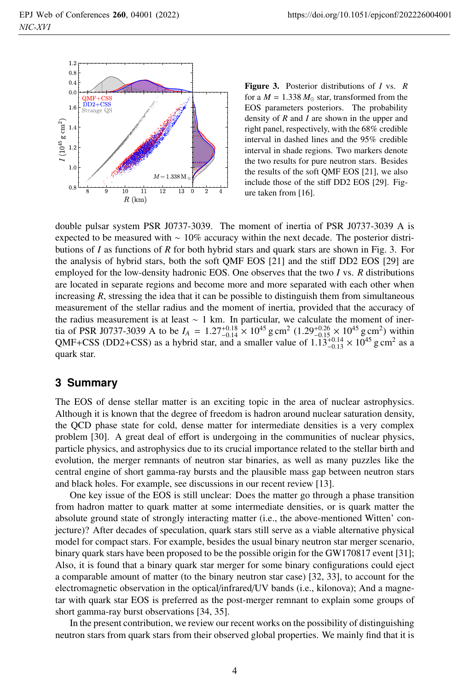

Figure 3. Posterior distributions of *<sup>I</sup>* vs. *<sup>R</sup>* for a  $M = 1.338 M_{\odot}$  star, transformed from the EOS parameters posteriors. The probability density of *R* and *I* are shown in the upper and right panel, respectively, with the 68% credible interval in dashed lines and the 95% credible interval in shade regions. Two markers denote the two results for pure neutron stars. Besides the results of the soft QMF EOS [21], we also include those of the stiff DD2 EOS [29]. Figure taken from [16].

double pulsar system PSR J0737-3039. The moment of inertia of PSR J0737-3039 A is expected to be measured with ∼ 10% accuracy within the next decade. The posterior distributions of *I* as functions of *R* for both hybrid stars and quark stars are shown in Fig. 3. For the analysis of hybrid stars, both the soft QMF EOS [21] and the stiff DD2 EOS [29] are employed for the low-density hadronic EOS. One observes that the two *I* vs. *R* distributions are located in separate regions and become more and more separated with each other when increasing *R*, stressing the idea that it can be possible to distinguish them from simultaneous measurement of the stellar radius and the moment of inertia, provided that the accuracy of the radius measurement is at least ∼ 1 km. In particular, we calculate the moment of inertia of PSR J0737-3039 A to be  $I_A = 1.27^{+0.18}_{-0.14} \times 10^{45}$  g cm<sup>2</sup>  $(1.29^{+0.26}_{-0.15} \times 10^{45}$  g cm<sup>2</sup>) within QMF+CSS (DD2+CSS) as a hybrid star, and a smaller value of  $1.13^{+0.14}_{-0.13} \times 10^{45}$  g cm<sup>2</sup> as a quark star.

#### **3 Summary**

The EOS of dense stellar matter is an exciting topic in the area of nuclear astrophysics. Although it is known that the degree of freedom is hadron around nuclear saturation density, the QCD phase state for cold, dense matter for intermediate densities is a very complex problem [30]. A great deal of effort is undergoing in the communities of nuclear physics, particle physics, and astrophysics due to its crucial importance related to the stellar birth and evolution, the merger remnants of neutron star binaries, as well as many puzzles like the central engine of short gamma-ray bursts and the plausible mass gap between neutron stars and black holes. For example, see discussions in our recent review [13].

One key issue of the EOS is still unclear: Does the matter go through a phase transition from hadron matter to quark matter at some intermediate densities, or is quark matter the absolute ground state of strongly interacting matter (i.e., the above-mentioned Witten' conjecture)? After decades of speculation, quark stars still serve as a viable alternative physical model for compact stars. For example, besides the usual binary neutron star merger scenario, binary quark stars have been proposed to be the possible origin for the GW170817 event [31]; Also, it is found that a binary quark star merger for some binary configurations could eject a comparable amount of matter (to the binary neutron star case) [32, 33], to account for the electromagnetic observation in the optical/infrared/UV bands (i.e., kilonova); And a magnetar with quark star EOS is preferred as the post-merger remnant to explain some groups of short gamma-ray burst observations [34, 35].

In the present contribution, we review our recent works on the possibility of distinguishing neutron stars from quark stars from their observed global properties. We mainly find that it is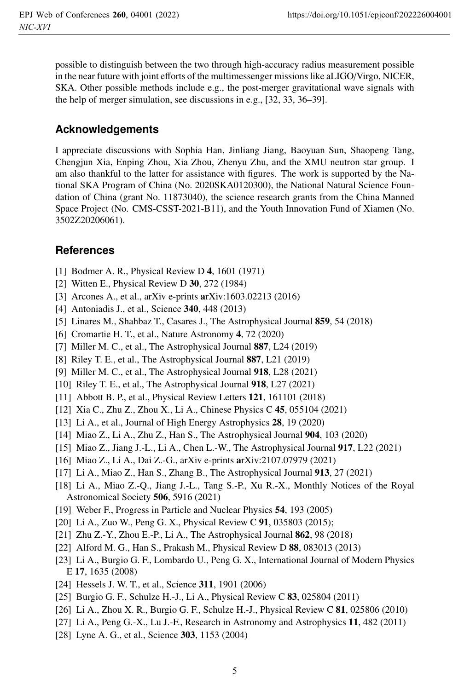possible to distinguish between the two through high-accuracy radius measurement possible in the near future with joint efforts of the multimessenger missions like aLIGO/Virgo, NICER, SKA. Other possible methods include e.g., the post-merger gravitational wave signals with the help of merger simulation, see discussions in e.g., [32, 33, 36–39].

## **Acknowledgements**

I appreciate discussions with Sophia Han, Jinliang Jiang, Baoyuan Sun, Shaopeng Tang, Chengjun Xia, Enping Zhou, Xia Zhou, Zhenyu Zhu, and the XMU neutron star group. I am also thankful to the latter for assistance with figures. The work is supported by the National SKA Program of China (No. 2020SKA0120300), the National Natural Science Foundation of China (grant No. 11873040), the science research grants from the China Manned Space Project (No. CMS-CSST-2021-B11), and the Youth Innovation Fund of Xiamen (No. 3502Z20206061).

### **References**

- [1] Bodmer A. R., Physical Review D 4, 1601 (1971)
- [2] Witten E., Physical Review D 30, 272 (1984)
- [3] Arcones A., et al., arXiv e-prints arXiv:1603.02213 (2016)
- [4] Antoniadis J., et al., Science **340**, 448 (2013)
- [5] Linares M., Shahbaz T., Casares J., The Astrophysical Journal 859, 54 (2018)
- [6] Cromartie H. T., et al., Nature Astronomy 4, 72 (2020)
- [7] Miller M. C., et al., The Astrophysical Journal 887, L24 (2019)
- [8] Riley T. E., et al., The Astrophysical Journal 887, L21 (2019)
- [9] Miller M. C., et al., The Astrophysical Journal 918, L28 (2021)
- [10] Riley T. E., et al., The Astrophysical Journal 918, L27 (2021)
- [11] Abbott B. P., et al., Physical Review Letters **121**, 161101 (2018)
- [12] Xia C., Zhu Z., Zhou X., Li A., Chinese Physics C 45, 055104 (2021)
- [13] Li A., et al., Journal of High Energy Astrophysics 28, 19 (2020)
- [14] Miao Z., Li A., Zhu Z., Han S., The Astrophysical Journal 904, 103 (2020)
- [15] Miao Z., Jiang J.-L., Li A., Chen L.-W., The Astrophysical Journal 917, L22 (2021)
- [16] Miao Z., Li A., Dai Z.-G., arXiv e-prints arXiv:2107.07979 (2021)
- [17] Li A., Miao Z., Han S., Zhang B., The Astrophysical Journal 913, 27 (2021)
- [18] Li A., Miao Z.-Q., Jiang J.-L., Tang S.-P., Xu R.-X., Monthly Notices of the Royal Astronomical Society 506, 5916 (2021)
- [19] Weber F., Progress in Particle and Nuclear Physics 54, 193 (2005)
- [20] Li A., Zuo W., Peng G. X., Physical Review C 91, 035803 (2015);
- [21] Zhu Z.-Y., Zhou E.-P., Li A., The Astrophysical Journal 862, 98 (2018)
- [22] Alford M. G., Han S., Prakash M., Physical Review D 88, 083013 (2013)
- [23] Li A., Burgio G. F., Lombardo U., Peng G. X., International Journal of Modern Physics <sup>E</sup> 17, 1635 (2008)
- [24] Hessels J. W. T., et al., Science 311, 1901 (2006)
- [25] Burgio G. F., Schulze H.-J., Li A., Physical Review C 83, 025804 (2011)
- [26] Li A., Zhou X. R., Burgio G. F., Schulze H.-J., Physical Review C 81, 025806 (2010)
- [27] Li A., Peng G.-X., Lu J.-F., Research in Astronomy and Astrophysics 11, 482 (2011)
- [28] Lyne A. G., et al., Science 303, 1153 (2004)